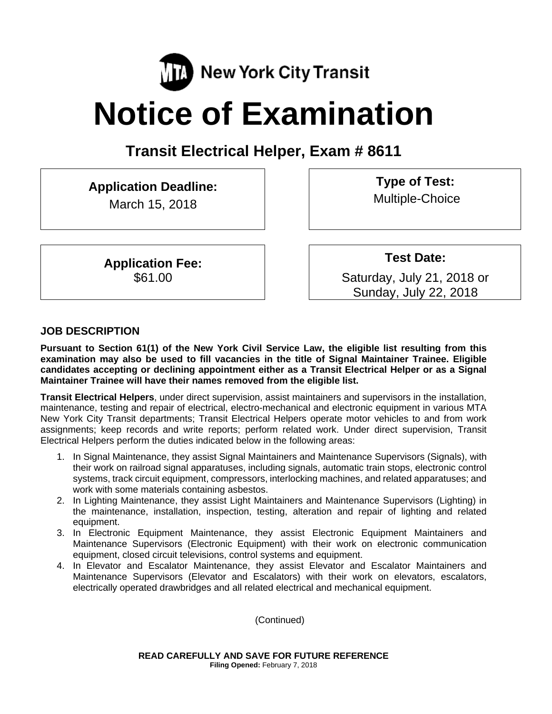

# **Notice of Examination**

**Transit Electrical Helper, Exam # 8611** 

**Application Deadline:**  March 15, 2018

> **Application Fee:**  \$61.00

**Type of Test:**  Multiple-Choice

**Test Date:**

Saturday, July 21, 2018 or Sunday, July 22, 2018

#### **JOB DESCRIPTION**

**Pursuant to Section 61(1) of the New York Civil Service Law, the eligible list resulting from this examination may also be used to fill vacancies in the title of Signal Maintainer Trainee. Eligible candidates accepting or declining appointment either as a Transit Electrical Helper or as a Signal Maintainer Trainee will have their names removed from the eligible list.** 

**Transit Electrical Helpers**, under direct supervision, assist maintainers and supervisors in the installation, maintenance, testing and repair of electrical, electro-mechanical and electronic equipment in various MTA New York City Transit departments; Transit Electrical Helpers operate motor vehicles to and from work assignments; keep records and write reports; perform related work. Under direct supervision, Transit Electrical Helpers perform the duties indicated below in the following areas:

- 1. In Signal Maintenance, they assist Signal Maintainers and Maintenance Supervisors (Signals), with their work on railroad signal apparatuses, including signals, automatic train stops, electronic control systems, track circuit equipment, compressors, interlocking machines, and related apparatuses; and work with some materials containing asbestos.
- 2. In Lighting Maintenance, they assist Light Maintainers and Maintenance Supervisors (Lighting) in the maintenance, installation, inspection, testing, alteration and repair of lighting and related equipment.
- 3. In Electronic Equipment Maintenance, they assist Electronic Equipment Maintainers and Maintenance Supervisors (Electronic Equipment) with their work on electronic communication equipment, closed circuit televisions, control systems and equipment.
- 4. In Elevator and Escalator Maintenance, they assist Elevator and Escalator Maintainers and Maintenance Supervisors (Elevator and Escalators) with their work on elevators, escalators, electrically operated drawbridges and all related electrical and mechanical equipment.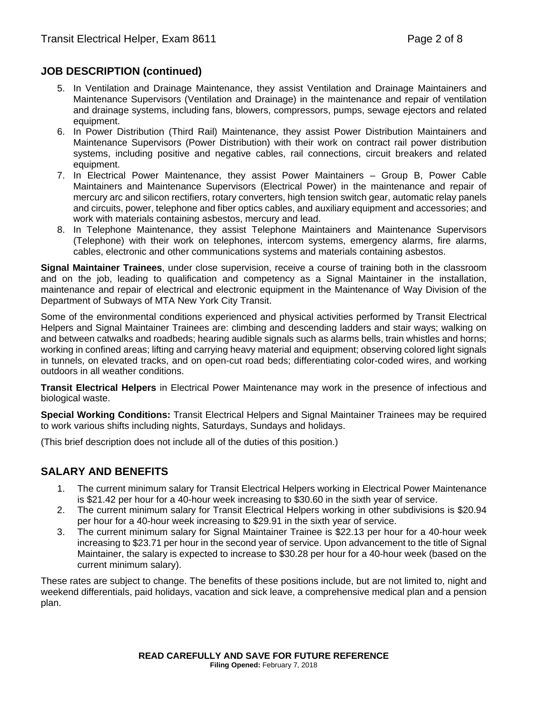#### **JOB DESCRIPTION (continued)**

- 5. In Ventilation and Drainage Maintenance, they assist Ventilation and Drainage Maintainers and Maintenance Supervisors (Ventilation and Drainage) in the maintenance and repair of ventilation and drainage systems, including fans, blowers, compressors, pumps, sewage ejectors and related equipment.
- 6. In Power Distribution (Third Rail) Maintenance, they assist Power Distribution Maintainers and Maintenance Supervisors (Power Distribution) with their work on contract rail power distribution systems, including positive and negative cables, rail connections, circuit breakers and related equipment.
- 7. In Electrical Power Maintenance, they assist Power Maintainers Group B, Power Cable Maintainers and Maintenance Supervisors (Electrical Power) in the maintenance and repair of mercury arc and silicon rectifiers, rotary converters, high tension switch gear, automatic relay panels and circuits, power, telephone and fiber optics cables, and auxiliary equipment and accessories; and work with materials containing asbestos, mercury and lead.
- 8. In Telephone Maintenance, they assist Telephone Maintainers and Maintenance Supervisors (Telephone) with their work on telephones, intercom systems, emergency alarms, fire alarms, cables, electronic and other communications systems and materials containing asbestos.

**Signal Maintainer Trainees**, under close supervision, receive a course of training both in the classroom and on the job, leading to qualification and competency as a Signal Maintainer in the installation, maintenance and repair of electrical and electronic equipment in the Maintenance of Way Division of the Department of Subways of MTA New York City Transit.

Some of the environmental conditions experienced and physical activities performed by Transit Electrical Helpers and Signal Maintainer Trainees are: climbing and descending ladders and stair ways; walking on and between catwalks and roadbeds; hearing audible signals such as alarms bells, train whistles and horns; working in confined areas; lifting and carrying heavy material and equipment; observing colored light signals in tunnels, on elevated tracks, and on open-cut road beds; differentiating color-coded wires, and working outdoors in all weather conditions.

**Transit Electrical Helpers** in Electrical Power Maintenance may work in the presence of infectious and biological waste.

**Special Working Conditions:** Transit Electrical Helpers and Signal Maintainer Trainees may be required to work various shifts including nights, Saturdays, Sundays and holidays.

(This brief description does not include all of the duties of this position.)

#### **SALARY AND BENEFITS**

- 1. The current minimum salary for Transit Electrical Helpers working in Electrical Power Maintenance is \$21.42 per hour for a 40-hour week increasing to \$30.60 in the sixth year of service.
- 2. The current minimum salary for Transit Electrical Helpers working in other subdivisions is \$20.94 per hour for a 40-hour week increasing to \$29.91 in the sixth year of service.
- 3. The current minimum salary for Signal Maintainer Trainee is \$22.13 per hour for a 40-hour week increasing to \$23.71 per hour in the second year of service. Upon advancement to the title of Signal Maintainer, the salary is expected to increase to \$30.28 per hour for a 40-hour week (based on the current minimum salary).

These rates are subject to change. The benefits of these positions include, but are not limited to, night and weekend differentials, paid holidays, vacation and sick leave, a comprehensive medical plan and a pension plan.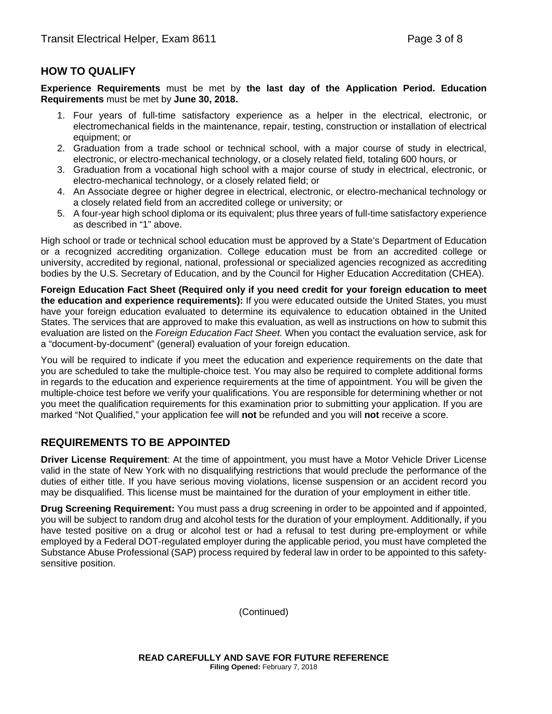## **HOW TO QUALIFY**

**Experience Requirements** must be met by **the last day of the Application Period. Education Requirements** must be met by **June 30, 2018.** 

- 1. Four years of full-time satisfactory experience as a helper in the electrical, electronic, or electromechanical fields in the maintenance, repair, testing, construction or installation of electrical equipment; or
- 2. Graduation from a trade school or technical school, with a major course of study in electrical, electronic, or electro-mechanical technology, or a closely related field, totaling 600 hours, or
- 3. Graduation from a vocational high school with a major course of study in electrical, electronic, or electro-mechanical technology, or a closely related field; or
- 4. An Associate degree or higher degree in electrical, electronic, or electro-mechanical technology or a closely related field from an accredited college or university; or
- 5. A four-year high school diploma or its equivalent; plus three years of full-time satisfactory experience as described in "1" above.

High school or trade or technical school education must be approved by a State's Department of Education or a recognized accrediting organization. College education must be from an accredited college or university, accredited by regional, national, professional or specialized agencies recognized as accrediting bodies by the U.S. Secretary of Education, and by the Council for Higher Education Accreditation (CHEA).

**Foreign Education Fact Sheet (Required only if you need credit for your foreign education to meet the education and experience requirements):** If you were educated outside the United States, you must have your foreign education evaluated to determine its equivalence to education obtained in the United States. The services that are approved to make this evaluation, as well as instructions on how to submit this evaluation are listed on the *Foreign Education Fact Sheet.* When you contact the evaluation service, ask for a "document-by-document" (general) evaluation of your foreign education.

You will be required to indicate if you meet the education and experience requirements on the date that you are scheduled to take the multiple-choice test. You may also be required to complete additional forms in regards to the education and experience requirements at the time of appointment. You will be given the multiple-choice test before we verify your qualifications. You are responsible for determining whether or not you meet the qualification requirements for this examination prior to submitting your application. If you are marked "Not Qualified," your application fee will **not** be refunded and you will **not** receive a score.

#### **REQUIREMENTS TO BE APPOINTED**

**Driver License Requirement**: At the time of appointment, you must have a Motor Vehicle Driver License valid in the state of New York with no disqualifying restrictions that would preclude the performance of the duties of either title. If you have serious moving violations, license suspension or an accident record you may be disqualified. This license must be maintained for the duration of your employment in either title.

**Drug Screening Requirement:** You must pass a drug screening in order to be appointed and if appointed, you will be subject to random drug and alcohol tests for the duration of your employment. Additionally, if you have tested positive on a drug or alcohol test or had a refusal to test during pre-employment or while employed by a Federal DOT-regulated employer during the applicable period, you must have completed the Substance Abuse Professional (SAP) process required by federal law in order to be appointed to this safetysensitive position.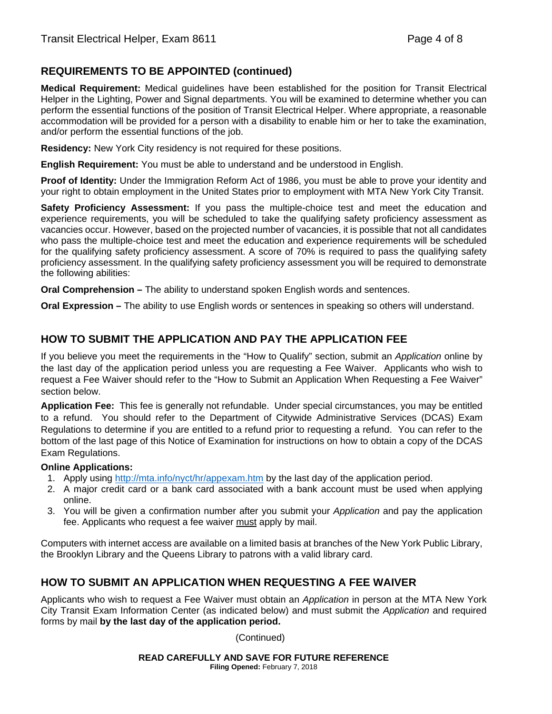# **REQUIREMENTS TO BE APPOINTED (continued)**

**Medical Requirement:** Medical guidelines have been established for the position for Transit Electrical Helper in the Lighting, Power and Signal departments. You will be examined to determine whether you can perform the essential functions of the position of Transit Electrical Helper. Where appropriate, a reasonable accommodation will be provided for a person with a disability to enable him or her to take the examination, and/or perform the essential functions of the job.

**Residency:** New York City residency is not required for these positions.

**English Requirement:** You must be able to understand and be understood in English.

**Proof of Identity:** Under the Immigration Reform Act of 1986, you must be able to prove your identity and your right to obtain employment in the United States prior to employment with MTA New York City Transit.

**Safety Proficiency Assessment:** If you pass the multiple-choice test and meet the education and experience requirements, you will be scheduled to take the qualifying safety proficiency assessment as vacancies occur. However, based on the projected number of vacancies, it is possible that not all candidates who pass the multiple-choice test and meet the education and experience requirements will be scheduled for the qualifying safety proficiency assessment. A score of 70% is required to pass the qualifying safety proficiency assessment. In the qualifying safety proficiency assessment you will be required to demonstrate the following abilities:

**Oral Comprehension –** The ability to understand spoken English words and sentences.

**Oral Expression –** The ability to use English words or sentences in speaking so others will understand.

#### **HOW TO SUBMIT THE APPLICATION AND PAY THE APPLICATION FEE**

If you believe you meet the requirements in the "How to Qualify" section, submit an *Application* online by the last day of the application period unless you are requesting a Fee Waiver. Applicants who wish to request a Fee Waiver should refer to the "How to Submit an Application When Requesting a Fee Waiver" section below.

**Application Fee:** This fee is generally not refundable. Under special circumstances, you may be entitled to a refund. You should refer to the Department of Citywide Administrative Services (DCAS) Exam Regulations to determine if you are entitled to a refund prior to requesting a refund. You can refer to the bottom of the last page of this Notice of Examination for instructions on how to obtain a copy of the DCAS Exam Regulations.

#### **Online Applications:**

- 1. Apply using http://mta.info/nyct/hr/appexam.htm by the last day of the application period.
- 2. A major credit card or a bank card associated with a bank account must be used when applying online.
- 3. You will be given a confirmation number after you submit your *Application* and pay the application fee. Applicants who request a fee waiver must apply by mail.

Computers with internet access are available on a limited basis at branches of the New York Public Library, the Brooklyn Library and the Queens Library to patrons with a valid library card.

#### **HOW TO SUBMIT AN APPLICATION WHEN REQUESTING A FEE WAIVER**

Applicants who wish to request a Fee Waiver must obtain an *Application* in person at the MTA New York City Transit Exam Information Center (as indicated below) and must submit the *Application* and required forms by mail **by the last day of the application period.**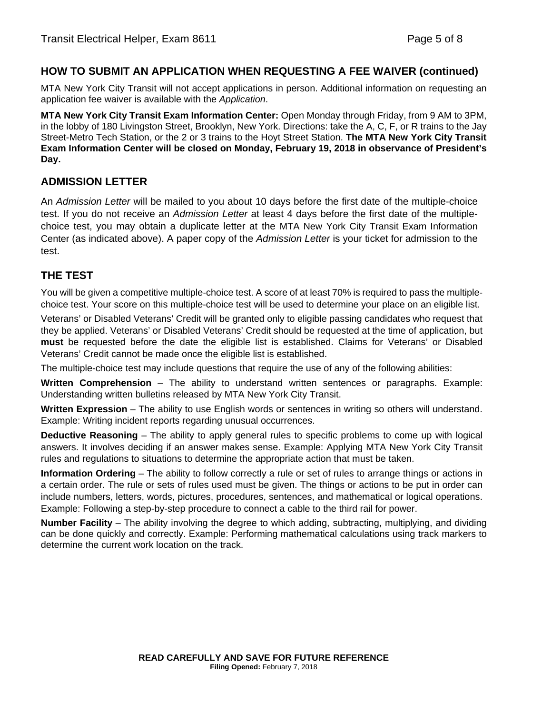#### **HOW TO SUBMIT AN APPLICATION WHEN REQUESTING A FEE WAIVER (continued)**

MTA New York City Transit will not accept applications in person. Additional information on requesting an application fee waiver is available with the *Application*.

**MTA New York City Transit Exam Information Center:** Open Monday through Friday, from 9 AM to 3PM, in the lobby of 180 Livingston Street, Brooklyn, New York. Directions: take the A, C, F, or R trains to the Jay Street-Metro Tech Station, or the 2 or 3 trains to the Hoyt Street Station. **The MTA New York City Transit Exam Information Center will be closed on Monday, February 19, 2018 in observance of President's Day.**

#### **ADMISSION LETTER**

An *Admission Letter* will be mailed to you about 10 days before the first date of the multiple-choice test. If you do not receive an *Admission Letter* at least 4 days before the first date of the multiplechoice test, you may obtain a duplicate letter at the MTA New York City Transit Exam Information Center (as indicated above). A paper copy of the *Admission Letter* is your ticket for admission to the test.

#### **THE TEST**

You will be given a competitive multiple-choice test. A score of at least 70% is required to pass the multiplechoice test. Your score on this multiple-choice test will be used to determine your place on an eligible list.

Veterans' or Disabled Veterans' Credit will be granted only to eligible passing candidates who request that they be applied. Veterans' or Disabled Veterans' Credit should be requested at the time of application, but **must** be requested before the date the eligible list is established. Claims for Veterans' or Disabled Veterans' Credit cannot be made once the eligible list is established.

The multiple-choice test may include questions that require the use of any of the following abilities:

**Written Comprehension** – The ability to understand written sentences or paragraphs. Example: Understanding written bulletins released by MTA New York City Transit.

**Written Expression** – The ability to use English words or sentences in writing so others will understand. Example: Writing incident reports regarding unusual occurrences.

**Deductive Reasoning** – The ability to apply general rules to specific problems to come up with logical answers. It involves deciding if an answer makes sense. Example: Applying MTA New York City Transit rules and regulations to situations to determine the appropriate action that must be taken.

**Information Ordering** – The ability to follow correctly a rule or set of rules to arrange things or actions in a certain order. The rule or sets of rules used must be given. The things or actions to be put in order can include numbers, letters, words, pictures, procedures, sentences, and mathematical or logical operations. Example: Following a step-by-step procedure to connect a cable to the third rail for power.

**Number Facility** – The ability involving the degree to which adding, subtracting, multiplying, and dividing can be done quickly and correctly. Example: Performing mathematical calculations using track markers to determine the current work location on the track.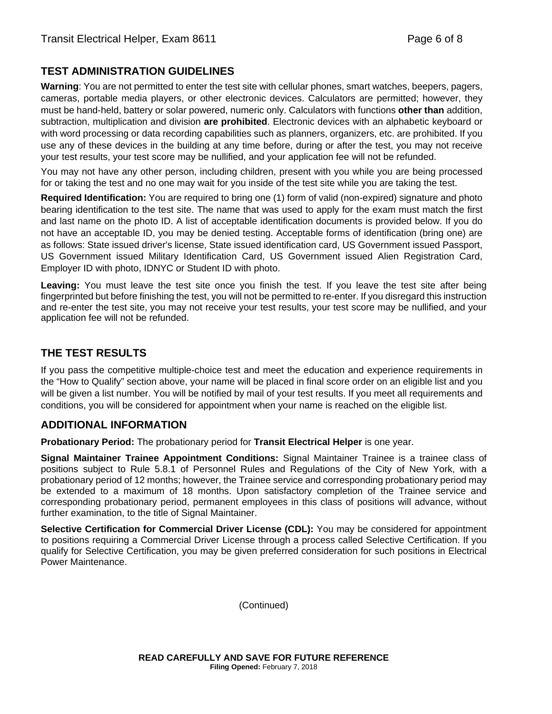### **TEST ADMINISTRATION GUIDELINES**

**Warning**: You are not permitted to enter the test site with cellular phones, smart watches, beepers, pagers, cameras, portable media players, or other electronic devices. Calculators are permitted; however, they must be hand-held, battery or solar powered, numeric only. Calculators with functions **other than** addition, subtraction, multiplication and division **are prohibited**. Electronic devices with an alphabetic keyboard or with word processing or data recording capabilities such as planners, organizers, etc. are prohibited. If you use any of these devices in the building at any time before, during or after the test, you may not receive your test results, your test score may be nullified, and your application fee will not be refunded.

You may not have any other person, including children, present with you while you are being processed for or taking the test and no one may wait for you inside of the test site while you are taking the test.

**Required Identification:** You are required to bring one (1) form of valid (non-expired) signature and photo bearing identification to the test site. The name that was used to apply for the exam must match the first and last name on the photo ID. A list of acceptable identification documents is provided below. If you do not have an acceptable ID, you may be denied testing. Acceptable forms of identification (bring one) are as follows: State issued driver's license, State issued identification card, US Government issued Passport, US Government issued Military Identification Card, US Government issued Alien Registration Card, Employer ID with photo, IDNYC or Student ID with photo.

**Leaving:** You must leave the test site once you finish the test. If you leave the test site after being fingerprinted but before finishing the test, you will not be permitted to re-enter. If you disregard this instruction and re-enter the test site, you may not receive your test results, your test score may be nullified, and your application fee will not be refunded.

# **THE TEST RESULTS**

If you pass the competitive multiple-choice test and meet the education and experience requirements in the "How to Qualify" section above, your name will be placed in final score order on an eligible list and you will be given a list number. You will be notified by mail of your test results. If you meet all requirements and conditions, you will be considered for appointment when your name is reached on the eligible list.

# **ADDITIONAL INFORMATION**

**Probationary Period:** The probationary period for **Transit Electrical Helper** is one year.

**Signal Maintainer Trainee Appointment Conditions:** Signal Maintainer Trainee is a trainee class of positions subject to Rule 5.8.1 of Personnel Rules and Regulations of the City of New York, with a probationary period of 12 months; however, the Trainee service and corresponding probationary period may be extended to a maximum of 18 months. Upon satisfactory completion of the Trainee service and corresponding probationary period, permanent employees in this class of positions will advance, without further examination, to the title of Signal Maintainer.

**Selective Certification for Commercial Driver License (CDL):** You may be considered for appointment to positions requiring a Commercial Driver License through a process called Selective Certification. If you qualify for Selective Certification, you may be given preferred consideration for such positions in Electrical Power Maintenance.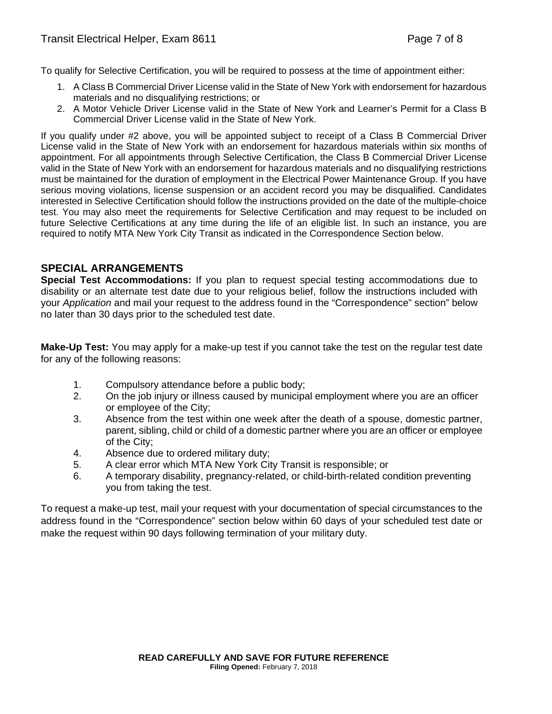To qualify for Selective Certification, you will be required to possess at the time of appointment either:

- 1. A Class B Commercial Driver License valid in the State of New York with endorsement for hazardous materials and no disqualifying restrictions; or
- 2. A Motor Vehicle Driver License valid in the State of New York and Learner's Permit for a Class B Commercial Driver License valid in the State of New York.

If you qualify under #2 above, you will be appointed subject to receipt of a Class B Commercial Driver License valid in the State of New York with an endorsement for hazardous materials within six months of appointment. For all appointments through Selective Certification, the Class B Commercial Driver License valid in the State of New York with an endorsement for hazardous materials and no disqualifying restrictions must be maintained for the duration of employment in the Electrical Power Maintenance Group. If you have serious moving violations, license suspension or an accident record you may be disqualified. Candidates interested in Selective Certification should follow the instructions provided on the date of the multiple-choice test. You may also meet the requirements for Selective Certification and may request to be included on future Selective Certifications at any time during the life of an eligible list. In such an instance, you are required to notify MTA New York City Transit as indicated in the Correspondence Section below.

#### **SPECIAL ARRANGEMENTS**

**Special Test Accommodations:** If you plan to request special testing accommodations due to disability or an alternate test date due to your religious belief, follow the instructions included with your *Application* and mail your request to the address found in the "Correspondence" section" below no later than 30 days prior to the scheduled test date.

**Make-Up Test:** You may apply for a make-up test if you cannot take the test on the regular test date for any of the following reasons:

- 1. Compulsory attendance before a public body;
- 2. On the job injury or illness caused by municipal employment where you are an officer or employee of the City;
- 3. Absence from the test within one week after the death of a spouse, domestic partner, parent, sibling, child or child of a domestic partner where you are an officer or employee of the City;
- 4. Absence due to ordered military duty;
- 5. A clear error which MTA New York City Transit is responsible; or
- 6. A temporary disability, pregnancy-related, or child-birth-related condition preventing you from taking the test.

To request a make-up test, mail your request with your documentation of special circumstances to the address found in the "Correspondence" section below within 60 days of your scheduled test date or make the request within 90 days following termination of your military duty.